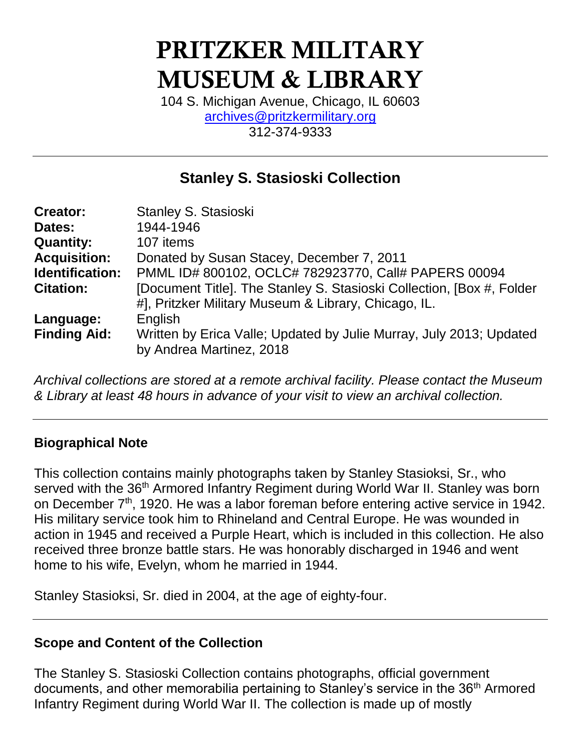# PRITZKER MILITARY MUSEUM & LIBRARY

104 S. Michigan Avenue, Chicago, IL 60603 [archives@pritzkermilitary.org](mailto:archives@pritzkermilitary.org) 312-374-9333

# **Stanley S. Stasioski Collection**

| <b>Creator:</b>     | Stanley S. Stasioski                                                   |
|---------------------|------------------------------------------------------------------------|
| Dates:              | 1944-1946                                                              |
| <b>Quantity:</b>    | 107 items                                                              |
| <b>Acquisition:</b> | Donated by Susan Stacey, December 7, 2011                              |
| Identification:     | PMML ID# 800102, OCLC# 782923770, Call# PAPERS 00094                   |
| <b>Citation:</b>    | [Document Title]. The Stanley S. Stasioski Collection, [Box #, Folder] |
|                     | #], Pritzker Military Museum & Library, Chicago, IL.                   |
| Language:           | English                                                                |
| <b>Finding Aid:</b> | Written by Erica Valle; Updated by Julie Murray, July 2013; Updated    |
|                     | by Andrea Martinez, 2018                                               |

*Archival collections are stored at a remote archival facility. Please contact the Museum & Library at least 48 hours in advance of your visit to view an archival collection.*

#### **Biographical Note**

This collection contains mainly photographs taken by Stanley Stasioksi, Sr., who served with the 36<sup>th</sup> Armored Infantry Regiment during World War II. Stanley was born on December  $7<sup>th</sup>$ , 1920. He was a labor foreman before entering active service in 1942. His military service took him to Rhineland and Central Europe. He was wounded in action in 1945 and received a Purple Heart, which is included in this collection. He also received three bronze battle stars. He was honorably discharged in 1946 and went home to his wife, Evelyn, whom he married in 1944.

Stanley Stasioksi, Sr. died in 2004, at the age of eighty-four.

#### **Scope and Content of the Collection**

The Stanley S. Stasioski Collection contains photographs, official government documents, and other memorabilia pertaining to Stanley's service in the 36<sup>th</sup> Armored Infantry Regiment during World War II. The collection is made up of mostly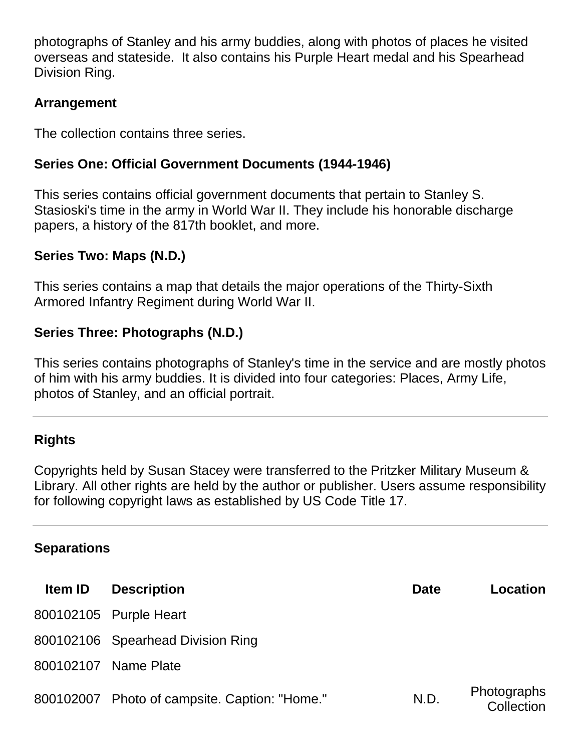photographs of Stanley and his army buddies, along with photos of places he visited overseas and stateside. It also contains his Purple Heart medal and his Spearhead Division Ring.

### **Arrangement**

The collection contains three series.

# **Series One: Official Government Documents (1944-1946)**

This series contains official government documents that pertain to Stanley S. Stasioski's time in the army in World War II. They include his honorable discharge papers, a history of the 817th booklet, and more.

#### **Series Two: Maps (N.D.)**

This series contains a map that details the major operations of the Thirty-Sixth Armored Infantry Regiment during World War II.

#### **Series Three: Photographs (N.D.)**

This series contains photographs of Stanley's time in the service and are mostly photos of him with his army buddies. It is divided into four categories: Places, Army Life, photos of Stanley, and an official portrait.

#### **Rights**

Copyrights held by Susan Stacey were transferred to the Pritzker Military Museum & Library. All other rights are held by the author or publisher. Users assume responsibility for following copyright laws as established by US Code Title 17.

#### **Separations**

| <b>Item ID</b> | <b>Description</b>                            | <b>Date</b> | Location                  |
|----------------|-----------------------------------------------|-------------|---------------------------|
|                | 800102105 Purple Heart                        |             |                           |
|                | 800102106 Spearhead Division Ring             |             |                           |
|                | 800102107 Name Plate                          |             |                           |
|                | 800102007 Photo of campsite. Caption: "Home." | N.D.        | Photographs<br>Collection |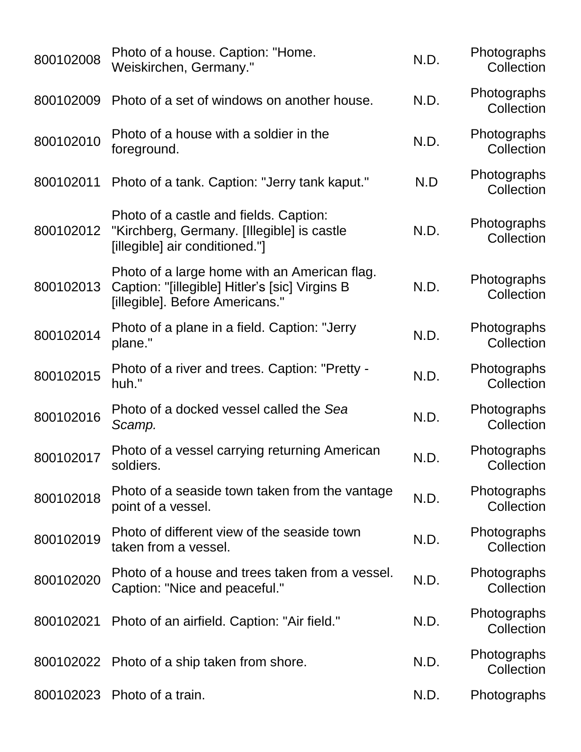| 800102008 | Photo of a house. Caption: "Home.<br>Weiskirchen, Germany."                                                                       | N.D. | Photographs<br>Collection |
|-----------|-----------------------------------------------------------------------------------------------------------------------------------|------|---------------------------|
| 800102009 | Photo of a set of windows on another house.                                                                                       | N.D. | Photographs<br>Collection |
| 800102010 | Photo of a house with a soldier in the<br>foreground.                                                                             | N.D. | Photographs<br>Collection |
| 800102011 | Photo of a tank. Caption: "Jerry tank kaput."                                                                                     | N.D  | Photographs<br>Collection |
| 800102012 | Photo of a castle and fields. Caption:<br>"Kirchberg, Germany. [Illegible] is castle<br>[illegible] air conditioned."]            | N.D. | Photographs<br>Collection |
| 800102013 | Photo of a large home with an American flag.<br>Caption: "[illegible] Hitler's [sic] Virgins B<br>[illegible]. Before Americans." | N.D. | Photographs<br>Collection |
| 800102014 | Photo of a plane in a field. Caption: "Jerry<br>plane."                                                                           | N.D. | Photographs<br>Collection |
| 800102015 | Photo of a river and trees. Caption: "Pretty -<br>huh."                                                                           | N.D. | Photographs<br>Collection |
| 800102016 | Photo of a docked vessel called the Sea<br>Scamp.                                                                                 | N.D. | Photographs<br>Collection |
| 800102017 | Photo of a vessel carrying returning American<br>soldiers.                                                                        | N.D. | Photographs<br>Collection |
| 800102018 | Photo of a seaside town taken from the vantage<br>point of a vessel.                                                              | N.D. | Photographs<br>Collection |
| 800102019 | Photo of different view of the seaside town<br>taken from a vessel.                                                               | N.D. | Photographs<br>Collection |
| 800102020 | Photo of a house and trees taken from a vessel.<br>Caption: "Nice and peaceful."                                                  | N.D. | Photographs<br>Collection |
| 800102021 | Photo of an airfield. Caption: "Air field."                                                                                       | N.D. | Photographs<br>Collection |
| 800102022 | Photo of a ship taken from shore.                                                                                                 | N.D. | Photographs<br>Collection |
| 800102023 | Photo of a train.                                                                                                                 | N.D. | Photographs               |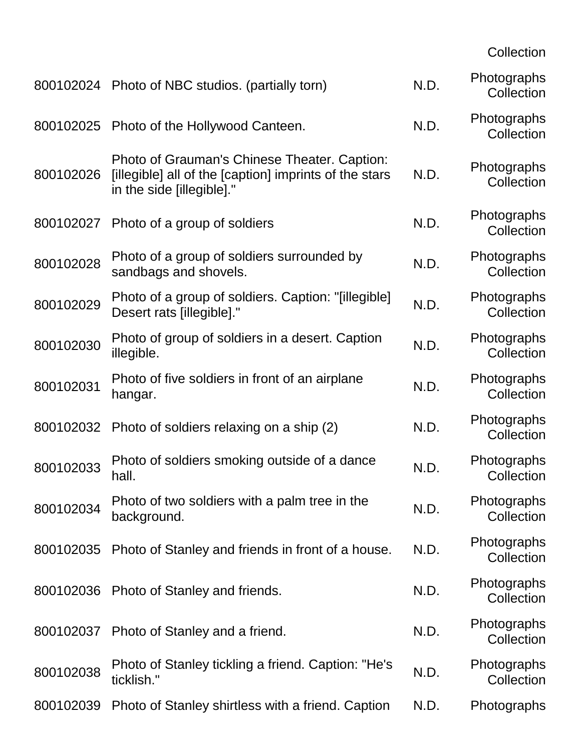**Collection** 

|           | 800102024 Photo of NBC studios. (partially torn)                                                                                    | N.D. | Photographs<br>Collection |
|-----------|-------------------------------------------------------------------------------------------------------------------------------------|------|---------------------------|
|           | 800102025 Photo of the Hollywood Canteen.                                                                                           | N.D. | Photographs<br>Collection |
| 800102026 | Photo of Grauman's Chinese Theater. Caption:<br>[illegible] all of the [caption] imprints of the stars<br>in the side [illegible]." | N.D. | Photographs<br>Collection |
| 800102027 | Photo of a group of soldiers                                                                                                        | N.D. | Photographs<br>Collection |
| 800102028 | Photo of a group of soldiers surrounded by<br>sandbags and shovels.                                                                 | N.D. | Photographs<br>Collection |
| 800102029 | Photo of a group of soldiers. Caption: "[illegible]<br>Desert rats [illegible]."                                                    | N.D. | Photographs<br>Collection |
| 800102030 | Photo of group of soldiers in a desert. Caption<br>illegible.                                                                       | N.D. | Photographs<br>Collection |
| 800102031 | Photo of five soldiers in front of an airplane<br>hangar.                                                                           | N.D. | Photographs<br>Collection |
| 800102032 | Photo of soldiers relaxing on a ship (2)                                                                                            | N.D. | Photographs<br>Collection |
| 800102033 | Photo of soldiers smoking outside of a dance<br>hall.                                                                               | N.D. | Photographs<br>Collection |
| 800102034 | Photo of two soldiers with a palm tree in the<br>background.                                                                        | N.D. | Photographs<br>Collection |
| 800102035 | Photo of Stanley and friends in front of a house.                                                                                   | N.D. | Photographs<br>Collection |
|           | 800102036 Photo of Stanley and friends.                                                                                             | N.D. | Photographs<br>Collection |
| 800102037 | Photo of Stanley and a friend.                                                                                                      | N.D. | Photographs<br>Collection |
| 800102038 | Photo of Stanley tickling a friend. Caption: "He's<br>ticklish."                                                                    | N.D. | Photographs<br>Collection |
| 800102039 | Photo of Stanley shirtless with a friend. Caption                                                                                   | N.D. | Photographs               |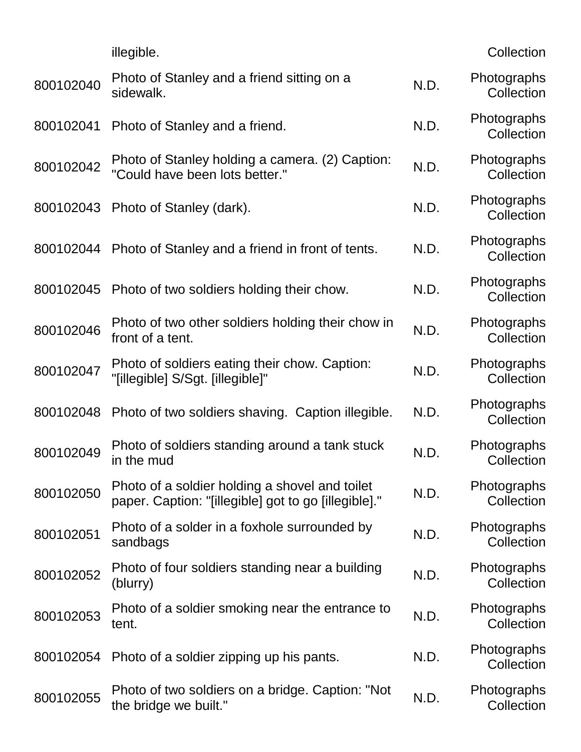|           | illegible.                                                                                             |      | Collection                |
|-----------|--------------------------------------------------------------------------------------------------------|------|---------------------------|
| 800102040 | Photo of Stanley and a friend sitting on a<br>sidewalk.                                                | N.D. | Photographs<br>Collection |
| 800102041 | Photo of Stanley and a friend.                                                                         | N.D. | Photographs<br>Collection |
| 800102042 | Photo of Stanley holding a camera. (2) Caption:<br>"Could have been lots better."                      | N.D. | Photographs<br>Collection |
| 800102043 | Photo of Stanley (dark).                                                                               | N.D. | Photographs<br>Collection |
| 800102044 | Photo of Stanley and a friend in front of tents.                                                       | N.D. | Photographs<br>Collection |
| 800102045 | Photo of two soldiers holding their chow.                                                              | N.D. | Photographs<br>Collection |
| 800102046 | Photo of two other soldiers holding their chow in<br>front of a tent.                                  | N.D. | Photographs<br>Collection |
| 800102047 | Photo of soldiers eating their chow. Caption:<br>"[illegible] S/Sgt. [illegible]"                      | N.D. | Photographs<br>Collection |
| 800102048 | Photo of two soldiers shaving. Caption illegible.                                                      | N.D. | Photographs<br>Collection |
| 800102049 | Photo of soldiers standing around a tank stuck<br>in the mud                                           | N.D. | Photographs<br>Collection |
| 800102050 | Photo of a soldier holding a shovel and toilet<br>paper. Caption: "[illegible] got to go [illegible]." | N.D. | Photographs<br>Collection |
| 800102051 | Photo of a solder in a foxhole surrounded by<br>sandbags                                               | N.D. | Photographs<br>Collection |
| 800102052 | Photo of four soldiers standing near a building<br>(blurry)                                            | N.D. | Photographs<br>Collection |
| 800102053 | Photo of a soldier smoking near the entrance to<br>tent.                                               | N.D. | Photographs<br>Collection |
| 800102054 | Photo of a soldier zipping up his pants.                                                               | N.D. | Photographs<br>Collection |
| 800102055 | Photo of two soldiers on a bridge. Caption: "Not<br>the bridge we built."                              | N.D. | Photographs<br>Collection |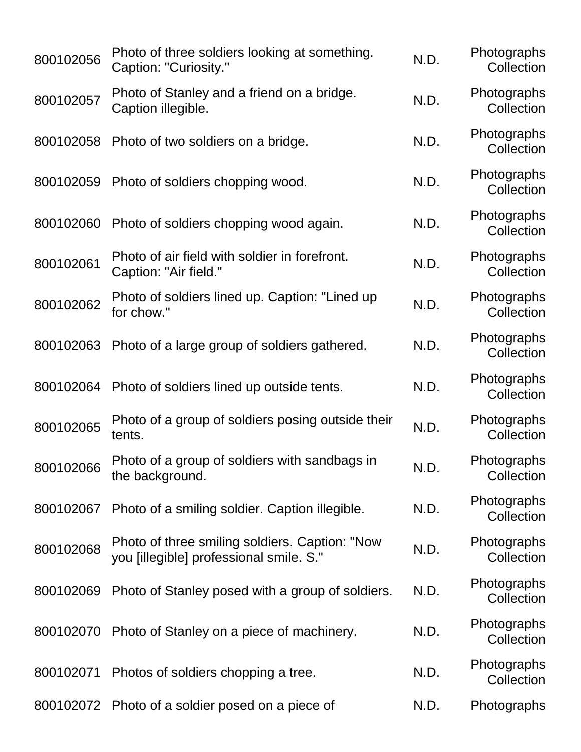| 800102056 | Photo of three soldiers looking at something.<br>Caption: "Curiosity."                    | N.D. | Photographs<br>Collection |
|-----------|-------------------------------------------------------------------------------------------|------|---------------------------|
| 800102057 | Photo of Stanley and a friend on a bridge.<br>Caption illegible.                          | N.D. | Photographs<br>Collection |
| 800102058 | Photo of two soldiers on a bridge.                                                        | N.D. | Photographs<br>Collection |
| 800102059 | Photo of soldiers chopping wood.                                                          | N.D. | Photographs<br>Collection |
| 800102060 | Photo of soldiers chopping wood again.                                                    | N.D. | Photographs<br>Collection |
| 800102061 | Photo of air field with soldier in forefront.<br>Caption: "Air field."                    | N.D. | Photographs<br>Collection |
| 800102062 | Photo of soldiers lined up. Caption: "Lined up<br>for chow."                              | N.D. | Photographs<br>Collection |
| 800102063 | Photo of a large group of soldiers gathered.                                              | N.D. | Photographs<br>Collection |
| 800102064 | Photo of soldiers lined up outside tents.                                                 | N.D. | Photographs<br>Collection |
| 800102065 | Photo of a group of soldiers posing outside their<br>tents.                               | N.D. | Photographs<br>Collection |
| 800102066 | Photo of a group of soldiers with sandbags in<br>the background.                          | N.D. | Photographs<br>Collection |
| 800102067 | Photo of a smiling soldier. Caption illegible.                                            | N.D. | Photographs<br>Collection |
| 800102068 | Photo of three smiling soldiers. Caption: "Now<br>you [illegible] professional smile. S." | N.D. | Photographs<br>Collection |
| 800102069 | Photo of Stanley posed with a group of soldiers.                                          | N.D. | Photographs<br>Collection |
| 800102070 | Photo of Stanley on a piece of machinery.                                                 | N.D. | Photographs<br>Collection |
| 800102071 | Photos of soldiers chopping a tree.                                                       | N.D. | Photographs<br>Collection |
| 800102072 | Photo of a soldier posed on a piece of                                                    | N.D. | Photographs               |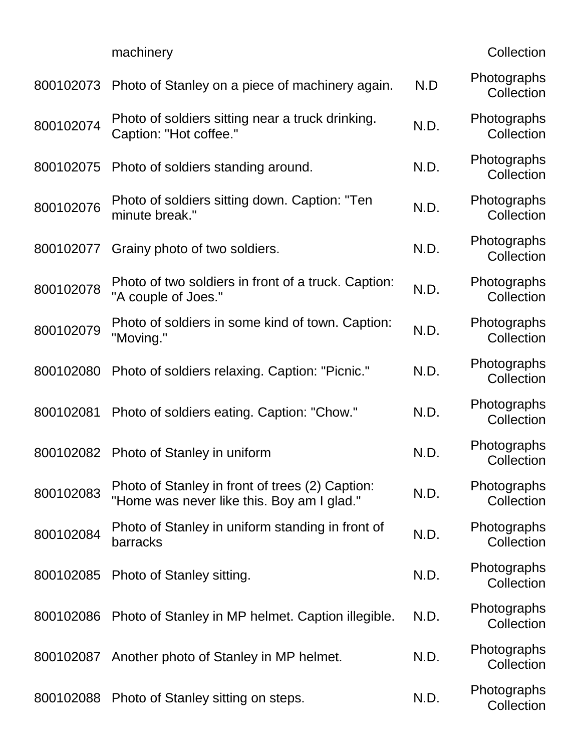|           | machinery                                                                                     |      | Collection                |
|-----------|-----------------------------------------------------------------------------------------------|------|---------------------------|
| 800102073 | Photo of Stanley on a piece of machinery again.                                               | N.D  | Photographs<br>Collection |
| 800102074 | Photo of soldiers sitting near a truck drinking.<br>Caption: "Hot coffee."                    | N.D. | Photographs<br>Collection |
| 800102075 | Photo of soldiers standing around.                                                            | N.D. | Photographs<br>Collection |
| 800102076 | Photo of soldiers sitting down. Caption: "Ten<br>minute break."                               | N.D. | Photographs<br>Collection |
| 800102077 | Grainy photo of two soldiers.                                                                 | N.D. | Photographs<br>Collection |
| 800102078 | Photo of two soldiers in front of a truck. Caption:<br>"A couple of Joes."                    | N.D. | Photographs<br>Collection |
| 800102079 | Photo of soldiers in some kind of town. Caption:<br>"Moving."                                 | N.D. | Photographs<br>Collection |
| 800102080 | Photo of soldiers relaxing. Caption: "Picnic."                                                | N.D. | Photographs<br>Collection |
| 800102081 | Photo of soldiers eating. Caption: "Chow."                                                    | N.D. | Photographs<br>Collection |
| 800102082 | Photo of Stanley in uniform                                                                   | N.D. | Photographs<br>Collection |
| 800102083 | Photo of Stanley in front of trees (2) Caption:<br>"Home was never like this. Boy am I glad." | N.D. | Photographs<br>Collection |
| 800102084 | Photo of Stanley in uniform standing in front of<br>barracks                                  | N.D. | Photographs<br>Collection |
| 800102085 | Photo of Stanley sitting.                                                                     | N.D. | Photographs<br>Collection |
| 800102086 | Photo of Stanley in MP helmet. Caption illegible.                                             | N.D. | Photographs<br>Collection |
| 800102087 | Another photo of Stanley in MP helmet.                                                        | N.D. | Photographs<br>Collection |
| 800102088 | Photo of Stanley sitting on steps.                                                            | N.D. | Photographs<br>Collection |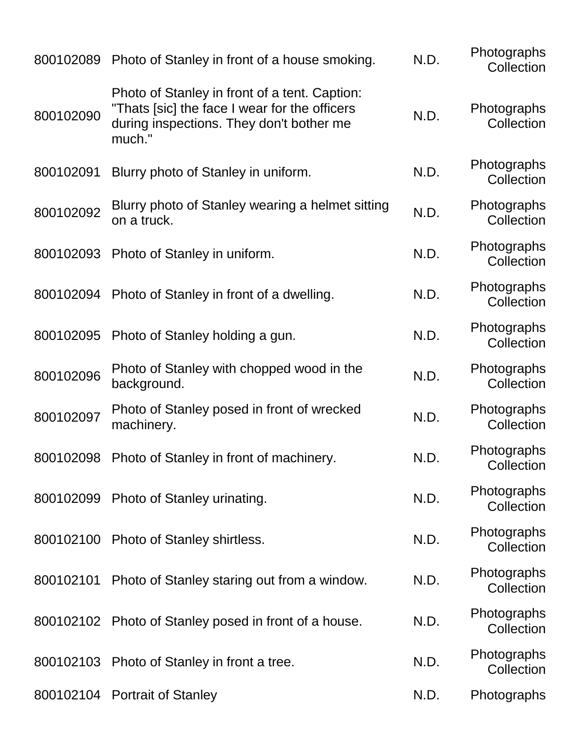| 800102089 | Photo of Stanley in front of a house smoking.                                                                                                         | N.D. | Photographs<br>Collection |
|-----------|-------------------------------------------------------------------------------------------------------------------------------------------------------|------|---------------------------|
| 800102090 | Photo of Stanley in front of a tent. Caption:<br>"Thats [sic] the face I wear for the officers"<br>during inspections. They don't bother me<br>much." | N.D. | Photographs<br>Collection |
| 800102091 | Blurry photo of Stanley in uniform.                                                                                                                   | N.D. | Photographs<br>Collection |
| 800102092 | Blurry photo of Stanley wearing a helmet sitting<br>on a truck.                                                                                       | N.D. | Photographs<br>Collection |
| 800102093 | Photo of Stanley in uniform.                                                                                                                          | N.D. | Photographs<br>Collection |
| 800102094 | Photo of Stanley in front of a dwelling.                                                                                                              | N.D. | Photographs<br>Collection |
| 800102095 | Photo of Stanley holding a gun.                                                                                                                       | N.D. | Photographs<br>Collection |
| 800102096 | Photo of Stanley with chopped wood in the<br>background.                                                                                              | N.D. | Photographs<br>Collection |
| 800102097 | Photo of Stanley posed in front of wrecked<br>machinery.                                                                                              | N.D. | Photographs<br>Collection |
| 800102098 | Photo of Stanley in front of machinery.                                                                                                               | N.D. | Photographs<br>Collection |
|           | 800102099 Photo of Stanley urinating.                                                                                                                 | N.D. | Photographs<br>Collection |
|           | 800102100 Photo of Stanley shirtless.                                                                                                                 | N.D. | Photographs<br>Collection |
| 800102101 | Photo of Stanley staring out from a window.                                                                                                           | N.D. | Photographs<br>Collection |
|           | 800102102 Photo of Stanley posed in front of a house.                                                                                                 | N.D. | Photographs<br>Collection |
| 800102103 | Photo of Stanley in front a tree.                                                                                                                     | N.D. | Photographs<br>Collection |
| 800102104 | <b>Portrait of Stanley</b>                                                                                                                            | N.D. | Photographs               |